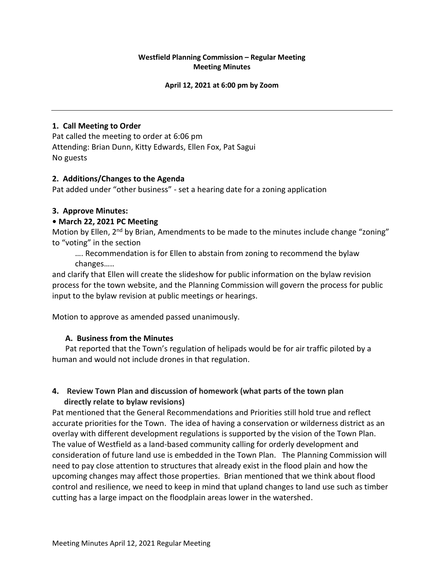# **Westfield Planning Commission – Regular Meeting Meeting Minutes**

#### **April 12, 2021 at 6:00 pm by Zoom**

### **1. Call Meeting to Order**

Pat called the meeting to order at 6:06 pm Attending: Brian Dunn, Kitty Edwards, Ellen Fox, Pat Sagui No guests

#### **2. Additions/Changes to the Agenda**

Pat added under "other business" - set a hearing date for a zoning application

#### **3. Approve Minutes:**

#### **• March 22, 2021 PC Meeting**

Motion by Ellen, 2<sup>nd</sup> by Brian, Amendments to be made to the minutes include change "zoning" to "voting" in the section

…. Recommendation is for Ellen to abstain from zoning to recommend the bylaw changes…..

and clarify that Ellen will create the slideshow for public information on the bylaw revision process for the town website, and the Planning Commission will govern the process for public input to the bylaw revision at public meetings or hearings.

Motion to approve as amended passed unanimously.

# **A. Business from the Minutes**

Pat reported that the Town's regulation of helipads would be for air traffic piloted by a human and would not include drones in that regulation.

# **4. Review Town Plan and discussion of homework (what parts of the town plan directly relate to bylaw revisions)**

Pat mentioned that the General Recommendations and Priorities still hold true and reflect accurate priorities for the Town. The idea of having a conservation or wilderness district as an overlay with different development regulations is supported by the vision of the Town Plan. The value of Westfield as a land-based community calling for orderly development and consideration of future land use is embedded in the Town Plan. The Planning Commission will need to pay close attention to structures that already exist in the flood plain and how the upcoming changes may affect those properties. Brian mentioned that we think about flood control and resilience, we need to keep in mind that upland changes to land use such as timber cutting has a large impact on the floodplain areas lower in the watershed.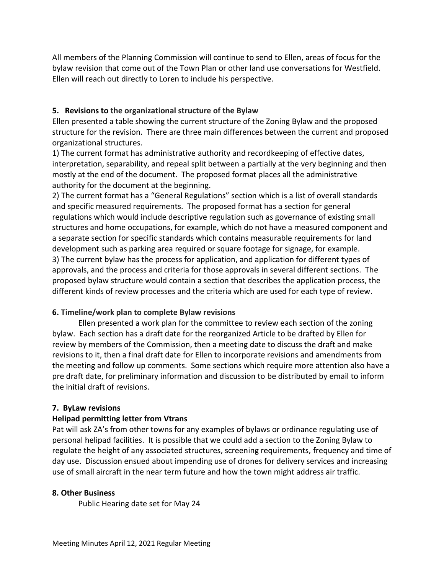All members of the Planning Commission will continue to send to Ellen, areas of focus for the bylaw revision that come out of the Town Plan or other land use conversations for Westfield. Ellen will reach out directly to Loren to include his perspective.

# **5. Revisions to the organizational structure of the Bylaw**

Ellen presented a table showing the current structure of the Zoning Bylaw and the proposed structure for the revision. There are three main differences between the current and proposed organizational structures.

1) The current format has administrative authority and recordkeeping of effective dates, interpretation, separability, and repeal split between a partially at the very beginning and then mostly at the end of the document. The proposed format places all the administrative authority for the document at the beginning.

2) The current format has a "General Regulations" section which is a list of overall standards and specific measured requirements. The proposed format has a section for general regulations which would include descriptive regulation such as governance of existing small structures and home occupations, for example, which do not have a measured component and a separate section for specific standards which contains measurable requirements for land development such as parking area required or square footage for signage, for example. 3) The current bylaw has the process for application, and application for different types of approvals, and the process and criteria for those approvals in several different sections. The proposed bylaw structure would contain a section that describes the application process, the different kinds of review processes and the criteria which are used for each type of review.

# **6. Timeline/work plan to complete Bylaw revisions**

Ellen presented a work plan for the committee to review each section of the zoning bylaw. Each section has a draft date for the reorganized Article to be drafted by Ellen for review by members of the Commission, then a meeting date to discuss the draft and make revisions to it, then a final draft date for Ellen to incorporate revisions and amendments from the meeting and follow up comments. Some sections which require more attention also have a pre draft date, for preliminary information and discussion to be distributed by email to inform the initial draft of revisions.

# **7. ByLaw revisions**

# **Helipad permitting letter from Vtrans**

Pat will ask ZA's from other towns for any examples of bylaws or ordinance regulating use of personal helipad facilities. It is possible that we could add a section to the Zoning Bylaw to regulate the height of any associated structures, screening requirements, frequency and time of day use. Discussion ensued about impending use of drones for delivery services and increasing use of small aircraft in the near term future and how the town might address air traffic.

# **8. Other Business**

Public Hearing date set for May 24